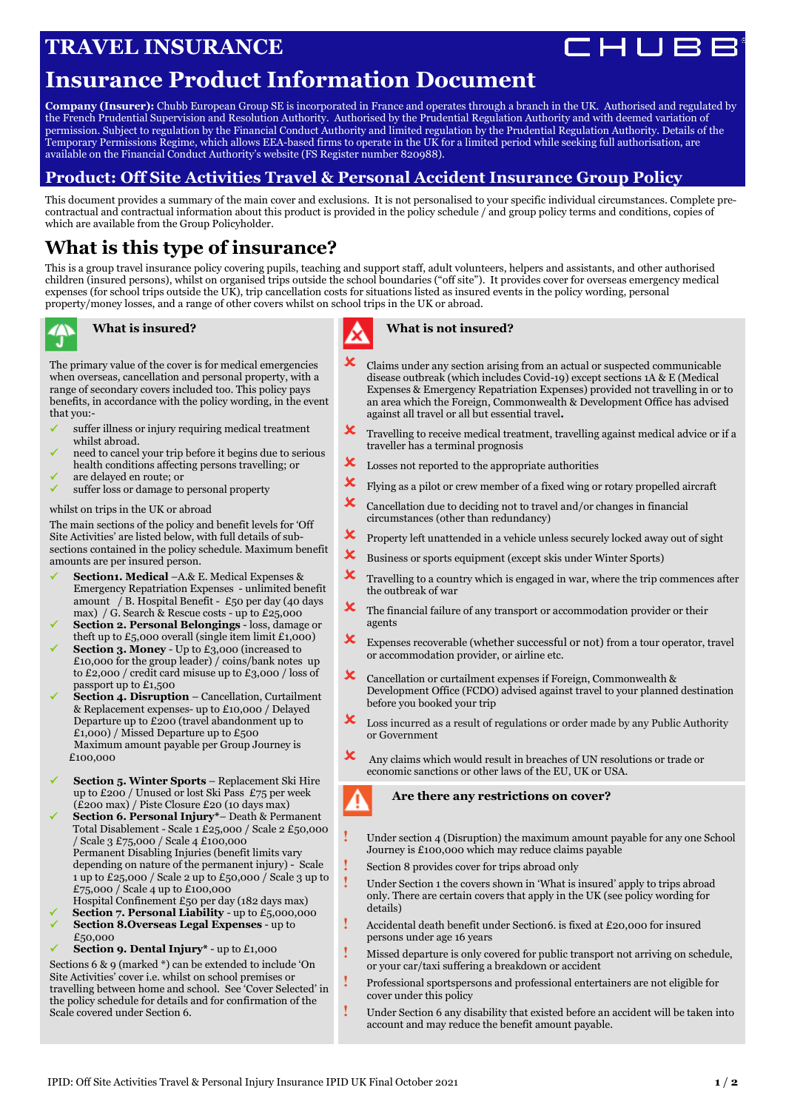# **TRAVEL INSURANCE**

# **Insurance Product Information Document**

**Company (Insurer):** Chubb European Group SE is incorporated in France and operates through a branch in the UK. Authorised and regulated by the French Prudential Supervision and Resolution Authority. Authorised by the Prudential Regulation Authority and with deemed variation of permission. Subject to regulation by the Financial Conduct Authority and limited regulation by the Prudential Regulation Authority. Details of the Temporary Permissions Regime, which allows EEA-based firms to operate in the UK for a limited period while seeking full authorisation, are available on the Financial Conduct Authority's website (FS Register number 820988).

## **Product: Off Site Activities Travel & Personal Accident Insurance Group Policy**

This document provides a summary of the main cover and exclusions. It is not personalised to your specific individual circumstances. Complete precontractual and contractual information about this product is provided in the policy schedule / and group policy terms and conditions, copies of which are available from the Group Policyholder.

## **What is this type of insurance?**

This is a group travel insurance policy covering pupils, teaching and support staff, adult volunteers, helpers and assistants, and other authorised children (insured persons), whilst on organised trips outside the school boundaries ("off site"). It provides cover for overseas emergency medical expenses (for school trips outside the UK), trip cancellation costs for situations listed as insured events in the policy wording, personal property/money losses, and a range of other covers whilst on school trips in the UK or abroad.



### **What is insured?**

The primary value of the cover is for medical emergencies when overseas, cancellation and personal property, with a range of secondary covers included too. This policy pays benefits, in accordance with the policy wording, in the event that you:-

- suffer illness or injury requiring medical treatment whilst abroad.
- need to cancel your trip before it begins due to serious health conditions affecting persons travelling; or
- are delayed en route; or
- suffer loss or damage to personal property

### whilst on trips in the UK or abroad

The main sections of the policy and benefit levels for 'Off Site Activities' are listed below, with full details of subsections contained in the policy schedule. Maximum benefit amounts are per insured person.

- **Section1. Medical** –A.& E. Medical Expenses & Emergency Repatriation Expenses - unlimited benefit amount / B. Hospital Benefit - £50 per day (40 days max) / G. Search & Rescue costs - up to £25,000
- **Section 2. Personal Belongings** loss, damage or theft up to  $£5,000$  overall (single item limit  $£1,000$ )
- **Section 3. Money** Up to £3,000 (increased to £10,000 for the group leader) / coins/bank notes up to £2,000 / credit card misuse up to £3,000 / loss of passport up to £1,500
- **Section 4. Disruption**  Cancellation, Curtailment & Replacement expenses- up to £10,000 / Delayed Departure up to £200 (travel abandonment up to £1,000) / Missed Departure up to £500 Maximum amount payable per Group Journey is £100,000
- **Section 5. Winter Sports** Replacement Ski Hire up to £200 / Unused or lost Ski Pass £75 per week (£200 max) / Piste Closure £20 (10 days max)
- **Section 6. Personal Injury\*** Death & Permanent Total Disablement - Scale 1 £25,000 / Scale 2 £50,000 / Scale 3 £75,000 / Scale 4 £100,000 Permanent Disabling Injuries (benefit limits vary depending on nature of the permanent injury) - Scale 1 up to £25,000 / Scale 2 up to £50,000 / Scale 3 up to £75,000 / Scale 4 up to £100,000 Hospital Confinement £50 per day (182 days max)
- **Section 7. Personal Liability** up to £5,000,000
- **Section 8.Overseas Legal Expenses** up to £50,000
- **Section 9. Dental Injury\*** up to £1,000

Sections 6 & 9 (marked \*) can be extended to include 'On Site Activities' cover i.e. whilst on school premises or travelling between home and school. See 'Cover Selected' in the policy schedule for details and for confirmation of the Scale covered under Section 6.

## **What is not insured?**

- **X** Claims under any section arising from an actual or suspected communicable disease outbreak (which includes Covid-19) except sections 1A & E (Medical Expenses & Emergency Repatriation Expenses) provided not travelling in or to an area which the Foreign, Commonwealth & Development Office has advised against all travel or all but essential travel**.**
- $\boldsymbol{\times}$  Travelling to receive medical treatment, travelling against medical advice or if a traveller has a terminal prognosis
- $\boldsymbol{\times}$  Losses not reported to the appropriate authorities
- $\mathbf{\times}$  Flying as a pilot or crew member of a fixed wing or rotary propelled aircraft
- $\boldsymbol{\times}$  Cancellation due to deciding not to travel and/or changes in financial circumstances (other than redundancy)
- $\mathbf{\times}$  Property left unattended in a vehicle unless securely locked away out of sight
- **X** Business or sports equipment (except skis under Winter Sports)
- $\boldsymbol{\times}$  Travelling to a country which is engaged in war, where the trip commences after the outbreak of war
- **X** The financial failure of any transport or accommodation provider or their agents
- $\mathbf{\times}$  Expenses recoverable (whether successful or not) from a tour operator, travel or accommodation provider, or airline etc.
- Cancellation or curtailment expenses if Foreign, Commonwealth & Development Office (FCDO) advised against travel to your planned destination before you booked your trip
- Loss incurred as a result of regulations or order made by any Public Authority or Government
- **X** Any claims which would result in breaches of UN resolutions or trade or economic sanctions or other laws of the EU, UK or USA.

### **Are there any restrictions on cover?**

- **!** Under section 4 (Disruption) the maximum amount payable for any one School Journey is £100,000 which may reduce claims payable
	- **!** Section <sup>8</sup> provides cover for trips abroad only
- Under Section 1 the covers shown in 'What is insured' apply to trips abroad only. There are certain covers that apply in the UK (see policy wording for details)
- **!** Accidental death benefit under Section6. is fixed at £20,000 for insured persons under age 16 years
- **!** Missed departure is only covered for public transport not arriving on schedule, or your car/taxi suffering a breakdown or accident
- **!** Professional sportspersons and professional entertainers are not eligible for cover under this policy
- **!** Under Section 6 any disability that existed before an accident will be taken into account and may reduce the benefit amount payable.